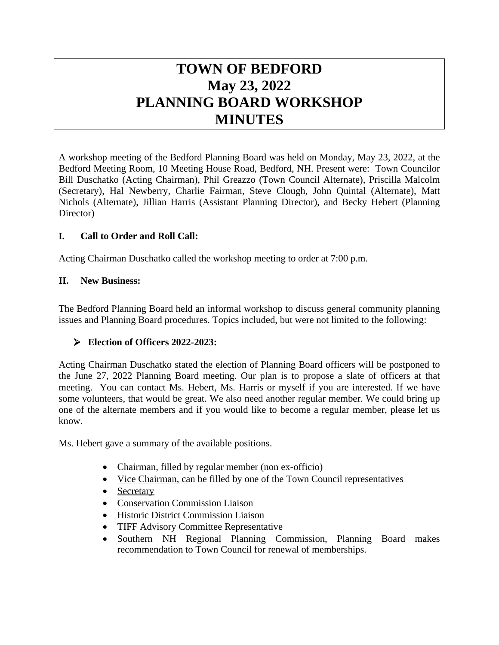# **TOWN OF BEDFORD May 23, 2022 PLANNING BOARD WORKSHOP MINUTES**

A workshop meeting of the Bedford Planning Board was held on Monday, May 23, 2022, at the Bedford Meeting Room, 10 Meeting House Road, Bedford, NH. Present were: Town Councilor Bill Duschatko (Acting Chairman), Phil Greazzo (Town Council Alternate), Priscilla Malcolm (Secretary), Hal Newberry, Charlie Fairman, Steve Clough, John Quintal (Alternate), Matt Nichols (Alternate), Jillian Harris (Assistant Planning Director), and Becky Hebert (Planning Director)

#### **I. Call to Order and Roll Call:**

Acting Chairman Duschatko called the workshop meeting to order at 7:00 p.m.

#### **II. New Business:**

The Bedford Planning Board held an informal workshop to discuss general community planning issues and Planning Board procedures. Topics included, but were not limited to the following:

#### **Election of Officers 2022-2023:**

Acting Chairman Duschatko stated the election of Planning Board officers will be postponed to the June 27, 2022 Planning Board meeting. Our plan is to propose a slate of officers at that meeting. You can contact Ms. Hebert, Ms. Harris or myself if you are interested. If we have some volunteers, that would be great. We also need another regular member. We could bring up one of the alternate members and if you would like to become a regular member, please let us know.

Ms. Hebert gave a summary of the available positions.

- Chairman, filled by regular member (non ex-officio)
- Vice Chairman, can be filled by one of the Town Council representatives
- Secretary
- Conservation Commission Liaison
- Historic District Commission Liaison
- TIFF Advisory Committee Representative
- Southern NH Regional Planning Commission, Planning Board makes recommendation to Town Council for renewal of memberships.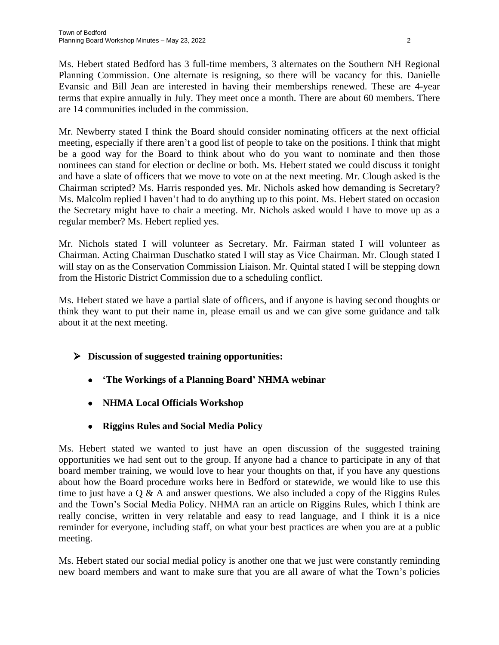Ms. Hebert stated Bedford has 3 full-time members, 3 alternates on the Southern NH Regional Planning Commission. One alternate is resigning, so there will be vacancy for this. Danielle Evansic and Bill Jean are interested in having their memberships renewed. These are 4-year terms that expire annually in July. They meet once a month. There are about 60 members. There are 14 communities included in the commission.

Mr. Newberry stated I think the Board should consider nominating officers at the next official meeting, especially if there aren't a good list of people to take on the positions. I think that might be a good way for the Board to think about who do you want to nominate and then those nominees can stand for election or decline or both. Ms. Hebert stated we could discuss it tonight and have a slate of officers that we move to vote on at the next meeting. Mr. Clough asked is the Chairman scripted? Ms. Harris responded yes. Mr. Nichols asked how demanding is Secretary? Ms. Malcolm replied I haven't had to do anything up to this point. Ms. Hebert stated on occasion the Secretary might have to chair a meeting. Mr. Nichols asked would I have to move up as a regular member? Ms. Hebert replied yes.

Mr. Nichols stated I will volunteer as Secretary. Mr. Fairman stated I will volunteer as Chairman. Acting Chairman Duschatko stated I will stay as Vice Chairman. Mr. Clough stated I will stay on as the Conservation Commission Liaison. Mr. Quintal stated I will be stepping down from the Historic District Commission due to a scheduling conflict.

Ms. Hebert stated we have a partial slate of officers, and if anyone is having second thoughts or think they want to put their name in, please email us and we can give some guidance and talk about it at the next meeting.

- **Discussion of suggested training opportunities:**
	- **'The Workings of a Planning Board' NHMA webinar**
	- **NHMA Local Officials Workshop**
	- **Riggins Rules and Social Media Policy**

Ms. Hebert stated we wanted to just have an open discussion of the suggested training opportunities we had sent out to the group. If anyone had a chance to participate in any of that board member training, we would love to hear your thoughts on that, if you have any questions about how the Board procedure works here in Bedford or statewide, we would like to use this time to just have a  $Q \& A$  and answer questions. We also included a copy of the Riggins Rules and the Town's Social Media Policy. NHMA ran an article on Riggins Rules, which I think are really concise, written in very relatable and easy to read language, and I think it is a nice reminder for everyone, including staff, on what your best practices are when you are at a public meeting.

Ms. Hebert stated our social medial policy is another one that we just were constantly reminding new board members and want to make sure that you are all aware of what the Town's policies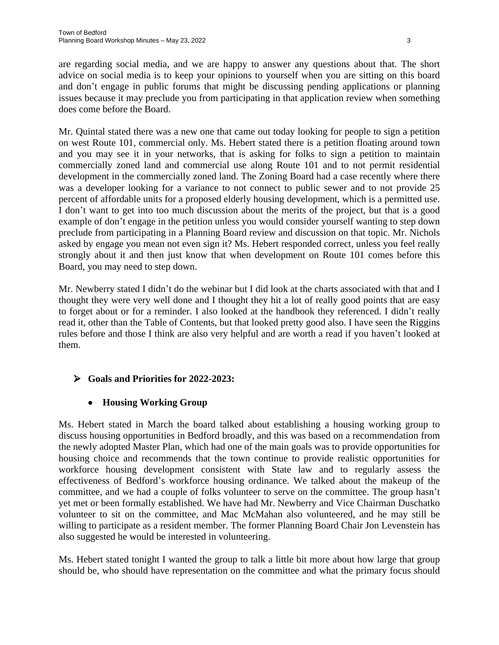are regarding social media, and we are happy to answer any questions about that. The short advice on social media is to keep your opinions to yourself when you are sitting on this board and don't engage in public forums that might be discussing pending applications or planning issues because it may preclude you from participating in that application review when something does come before the Board.

Mr. Quintal stated there was a new one that came out today looking for people to sign a petition on west Route 101, commercial only. Ms. Hebert stated there is a petition floating around town and you may see it in your networks, that is asking for folks to sign a petition to maintain commercially zoned land and commercial use along Route 101 and to not permit residential development in the commercially zoned land. The Zoning Board had a case recently where there was a developer looking for a variance to not connect to public sewer and to not provide 25 percent of affordable units for a proposed elderly housing development, which is a permitted use. I don't want to get into too much discussion about the merits of the project, but that is a good example of don't engage in the petition unless you would consider yourself wanting to step down preclude from participating in a Planning Board review and discussion on that topic. Mr. Nichols asked by engage you mean not even sign it? Ms. Hebert responded correct, unless you feel really strongly about it and then just know that when development on Route 101 comes before this Board, you may need to step down.

Mr. Newberry stated I didn't do the webinar but I did look at the charts associated with that and I thought they were very well done and I thought they hit a lot of really good points that are easy to forget about or for a reminder. I also looked at the handbook they referenced. I didn't really read it, other than the Table of Contents, but that looked pretty good also. I have seen the Riggins rules before and those I think are also very helpful and are worth a read if you haven't looked at them.

#### **Goals and Priorities for 2022-2023:**

#### **Housing Working Group**

Ms. Hebert stated in March the board talked about establishing a housing working group to discuss housing opportunities in Bedford broadly, and this was based on a recommendation from the newly adopted Master Plan, which had one of the main goals was to provide opportunities for housing choice and recommends that the town continue to provide realistic opportunities for workforce housing development consistent with State law and to regularly assess the effectiveness of Bedford's workforce housing ordinance. We talked about the makeup of the committee, and we had a couple of folks volunteer to serve on the committee. The group hasn't yet met or been formally established. We have had Mr. Newberry and Vice Chairman Duschatko volunteer to sit on the committee, and Mac McMahan also volunteered, and he may still be willing to participate as a resident member. The former Planning Board Chair Jon Levenstein has also suggested he would be interested in volunteering.

Ms. Hebert stated tonight I wanted the group to talk a little bit more about how large that group should be, who should have representation on the committee and what the primary focus should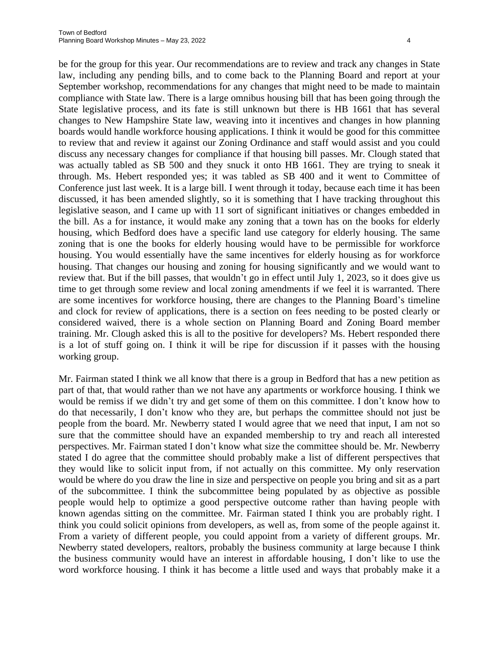be for the group for this year. Our recommendations are to review and track any changes in State law, including any pending bills, and to come back to the Planning Board and report at your September workshop, recommendations for any changes that might need to be made to maintain compliance with State law. There is a large omnibus housing bill that has been going through the State legislative process, and its fate is still unknown but there is HB 1661 that has several changes to New Hampshire State law, weaving into it incentives and changes in how planning boards would handle workforce housing applications. I think it would be good for this committee to review that and review it against our Zoning Ordinance and staff would assist and you could discuss any necessary changes for compliance if that housing bill passes. Mr. Clough stated that was actually tabled as SB 500 and they snuck it onto HB 1661. They are trying to sneak it through. Ms. Hebert responded yes; it was tabled as SB 400 and it went to Committee of Conference just last week. It is a large bill. I went through it today, because each time it has been discussed, it has been amended slightly, so it is something that I have tracking throughout this legislative season, and I came up with 11 sort of significant initiatives or changes embedded in the bill. As a for instance, it would make any zoning that a town has on the books for elderly housing, which Bedford does have a specific land use category for elderly housing. The same zoning that is one the books for elderly housing would have to be permissible for workforce housing. You would essentially have the same incentives for elderly housing as for workforce housing. That changes our housing and zoning for housing significantly and we would want to review that. But if the bill passes, that wouldn't go in effect until July 1, 2023, so it does give us time to get through some review and local zoning amendments if we feel it is warranted. There are some incentives for workforce housing, there are changes to the Planning Board's timeline and clock for review of applications, there is a section on fees needing to be posted clearly or considered waived, there is a whole section on Planning Board and Zoning Board member training. Mr. Clough asked this is all to the positive for developers? Ms. Hebert responded there is a lot of stuff going on. I think it will be ripe for discussion if it passes with the housing working group.

Mr. Fairman stated I think we all know that there is a group in Bedford that has a new petition as part of that, that would rather than we not have any apartments or workforce housing. I think we would be remiss if we didn't try and get some of them on this committee. I don't know how to do that necessarily, I don't know who they are, but perhaps the committee should not just be people from the board. Mr. Newberry stated I would agree that we need that input, I am not so sure that the committee should have an expanded membership to try and reach all interested perspectives. Mr. Fairman stated I don't know what size the committee should be. Mr. Newberry stated I do agree that the committee should probably make a list of different perspectives that they would like to solicit input from, if not actually on this committee. My only reservation would be where do you draw the line in size and perspective on people you bring and sit as a part of the subcommittee. I think the subcommittee being populated by as objective as possible people would help to optimize a good perspective outcome rather than having people with known agendas sitting on the committee. Mr. Fairman stated I think you are probably right. I think you could solicit opinions from developers, as well as, from some of the people against it. From a variety of different people, you could appoint from a variety of different groups. Mr. Newberry stated developers, realtors, probably the business community at large because I think the business community would have an interest in affordable housing, I don't like to use the word workforce housing. I think it has become a little used and ways that probably make it a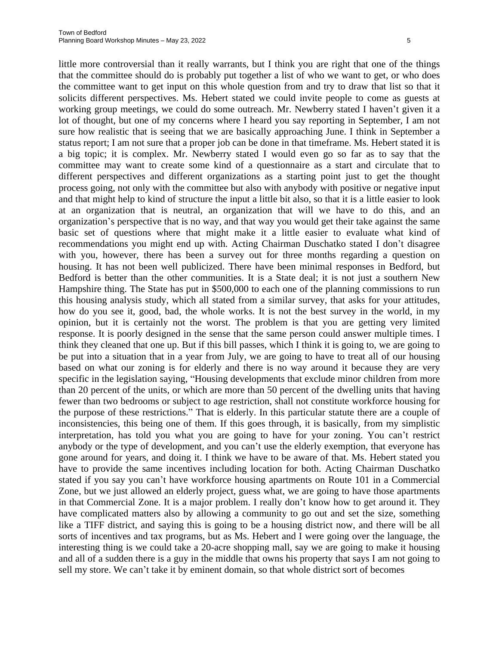little more controversial than it really warrants, but I think you are right that one of the things that the committee should do is probably put together a list of who we want to get, or who does the committee want to get input on this whole question from and try to draw that list so that it solicits different perspectives. Ms. Hebert stated we could invite people to come as guests at working group meetings, we could do some outreach. Mr. Newberry stated I haven't given it a lot of thought, but one of my concerns where I heard you say reporting in September, I am not sure how realistic that is seeing that we are basically approaching June. I think in September a status report; I am not sure that a proper job can be done in that timeframe. Ms. Hebert stated it is a big topic; it is complex. Mr. Newberry stated I would even go so far as to say that the committee may want to create some kind of a questionnaire as a start and circulate that to different perspectives and different organizations as a starting point just to get the thought process going, not only with the committee but also with anybody with positive or negative input and that might help to kind of structure the input a little bit also, so that it is a little easier to look at an organization that is neutral, an organization that will we have to do this, and an organization's perspective that is no way, and that way you would get their take against the same basic set of questions where that might make it a little easier to evaluate what kind of recommendations you might end up with. Acting Chairman Duschatko stated I don't disagree with you, however, there has been a survey out for three months regarding a question on housing. It has not been well publicized. There have been minimal responses in Bedford, but Bedford is better than the other communities. It is a State deal; it is not just a southern New Hampshire thing. The State has put in \$500,000 to each one of the planning commissions to run this housing analysis study, which all stated from a similar survey, that asks for your attitudes, how do you see it, good, bad, the whole works. It is not the best survey in the world, in my opinion, but it is certainly not the worst. The problem is that you are getting very limited response. It is poorly designed in the sense that the same person could answer multiple times. I think they cleaned that one up. But if this bill passes, which I think it is going to, we are going to be put into a situation that in a year from July, we are going to have to treat all of our housing based on what our zoning is for elderly and there is no way around it because they are very specific in the legislation saying, "Housing developments that exclude minor children from more than 20 percent of the units, or which are more than 50 percent of the dwelling units that having fewer than two bedrooms or subject to age restriction, shall not constitute workforce housing for the purpose of these restrictions." That is elderly. In this particular statute there are a couple of inconsistencies, this being one of them. If this goes through, it is basically, from my simplistic interpretation, has told you what you are going to have for your zoning. You can't restrict anybody or the type of development, and you can't use the elderly exemption, that everyone has gone around for years, and doing it. I think we have to be aware of that. Ms. Hebert stated you have to provide the same incentives including location for both. Acting Chairman Duschatko stated if you say you can't have workforce housing apartments on Route 101 in a Commercial Zone, but we just allowed an elderly project, guess what, we are going to have those apartments in that Commercial Zone. It is a major problem. I really don't know how to get around it. They have complicated matters also by allowing a community to go out and set the size, something like a TIFF district, and saying this is going to be a housing district now, and there will be all sorts of incentives and tax programs, but as Ms. Hebert and I were going over the language, the interesting thing is we could take a 20-acre shopping mall, say we are going to make it housing and all of a sudden there is a guy in the middle that owns his property that says I am not going to sell my store. We can't take it by eminent domain, so that whole district sort of becomes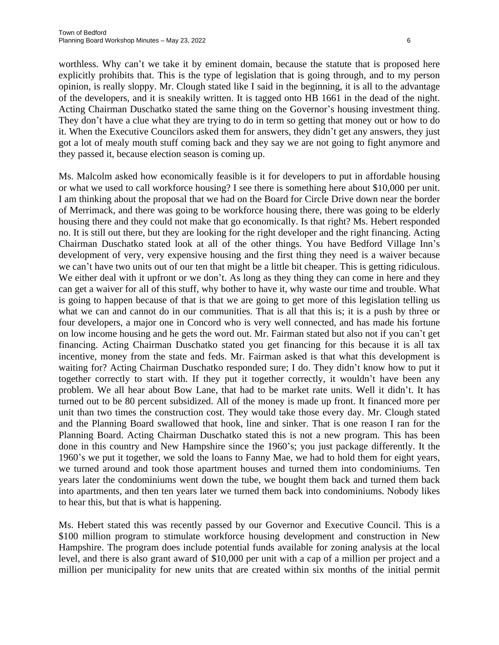worthless. Why can't we take it by eminent domain, because the statute that is proposed here explicitly prohibits that. This is the type of legislation that is going through, and to my person opinion, is really sloppy. Mr. Clough stated like I said in the beginning, it is all to the advantage of the developers, and it is sneakily written. It is tagged onto HB 1661 in the dead of the night. Acting Chairman Duschatko stated the same thing on the Governor's housing investment thing. They don't have a clue what they are trying to do in term so getting that money out or how to do it. When the Executive Councilors asked them for answers, they didn't get any answers, they just got a lot of mealy mouth stuff coming back and they say we are not going to fight anymore and they passed it, because election season is coming up.

Ms. Malcolm asked how economically feasible is it for developers to put in affordable housing or what we used to call workforce housing? I see there is something here about \$10,000 per unit. I am thinking about the proposal that we had on the Board for Circle Drive down near the border of Merrimack, and there was going to be workforce housing there, there was going to be elderly housing there and they could not make that go economically. Is that right? Ms. Hebert responded no. It is still out there, but they are looking for the right developer and the right financing. Acting Chairman Duschatko stated look at all of the other things. You have Bedford Village Inn's development of very, very expensive housing and the first thing they need is a waiver because we can't have two units out of our ten that might be a little bit cheaper. This is getting ridiculous. We either deal with it upfront or we don't. As long as they thing they can come in here and they can get a waiver for all of this stuff, why bother to have it, why waste our time and trouble. What is going to happen because of that is that we are going to get more of this legislation telling us what we can and cannot do in our communities. That is all that this is; it is a push by three or four developers, a major one in Concord who is very well connected, and has made his fortune on low income housing and he gets the word out. Mr. Fairman stated but also not if you can't get financing. Acting Chairman Duschatko stated you get financing for this because it is all tax incentive, money from the state and feds. Mr. Fairman asked is that what this development is waiting for? Acting Chairman Duschatko responded sure; I do. They didn't know how to put it together correctly to start with. If they put it together correctly, it wouldn't have been any problem. We all hear about Bow Lane, that had to be market rate units. Well it didn't. It has turned out to be 80 percent subsidized. All of the money is made up front. It financed more per unit than two times the construction cost. They would take those every day. Mr. Clough stated and the Planning Board swallowed that hook, line and sinker. That is one reason I ran for the Planning Board. Acting Chairman Duschatko stated this is not a new program. This has been done in this country and New Hampshire since the 1960's; you just package differently. It the 1960's we put it together, we sold the loans to Fanny Mae, we had to hold them for eight years, we turned around and took those apartment houses and turned them into condominiums. Ten years later the condominiums went down the tube, we bought them back and turned them back into apartments, and then ten years later we turned them back into condominiums. Nobody likes to hear this, but that is what is happening.

Ms. Hebert stated this was recently passed by our Governor and Executive Council. This is a \$100 million program to stimulate workforce housing development and construction in New Hampshire. The program does include potential funds available for zoning analysis at the local level, and there is also grant award of \$10,000 per unit with a cap of a million per project and a million per municipality for new units that are created within six months of the initial permit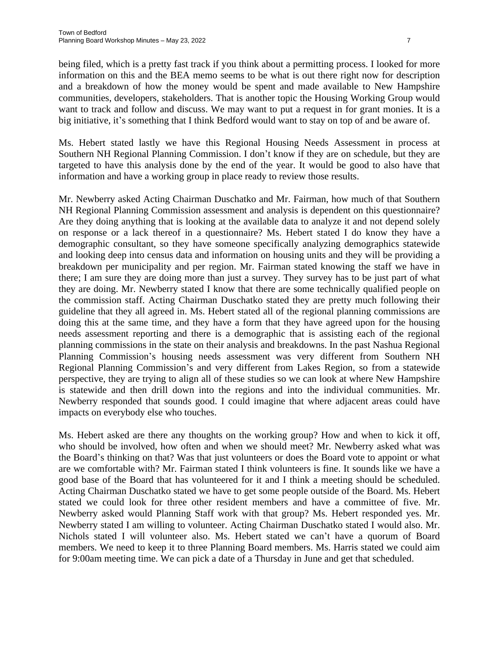being filed, which is a pretty fast track if you think about a permitting process. I looked for more information on this and the BEA memo seems to be what is out there right now for description and a breakdown of how the money would be spent and made available to New Hampshire communities, developers, stakeholders. That is another topic the Housing Working Group would want to track and follow and discuss. We may want to put a request in for grant monies. It is a big initiative, it's something that I think Bedford would want to stay on top of and be aware of.

Ms. Hebert stated lastly we have this Regional Housing Needs Assessment in process at Southern NH Regional Planning Commission. I don't know if they are on schedule, but they are targeted to have this analysis done by the end of the year. It would be good to also have that information and have a working group in place ready to review those results.

Mr. Newberry asked Acting Chairman Duschatko and Mr. Fairman, how much of that Southern NH Regional Planning Commission assessment and analysis is dependent on this questionnaire? Are they doing anything that is looking at the available data to analyze it and not depend solely on response or a lack thereof in a questionnaire? Ms. Hebert stated I do know they have a demographic consultant, so they have someone specifically analyzing demographics statewide and looking deep into census data and information on housing units and they will be providing a breakdown per municipality and per region. Mr. Fairman stated knowing the staff we have in there; I am sure they are doing more than just a survey. They survey has to be just part of what they are doing. Mr. Newberry stated I know that there are some technically qualified people on the commission staff. Acting Chairman Duschatko stated they are pretty much following their guideline that they all agreed in. Ms. Hebert stated all of the regional planning commissions are doing this at the same time, and they have a form that they have agreed upon for the housing needs assessment reporting and there is a demographic that is assisting each of the regional planning commissions in the state on their analysis and breakdowns. In the past Nashua Regional Planning Commission's housing needs assessment was very different from Southern NH Regional Planning Commission's and very different from Lakes Region, so from a statewide perspective, they are trying to align all of these studies so we can look at where New Hampshire is statewide and then drill down into the regions and into the individual communities. Mr. Newberry responded that sounds good. I could imagine that where adjacent areas could have impacts on everybody else who touches.

Ms. Hebert asked are there any thoughts on the working group? How and when to kick it off, who should be involved, how often and when we should meet? Mr. Newberry asked what was the Board's thinking on that? Was that just volunteers or does the Board vote to appoint or what are we comfortable with? Mr. Fairman stated I think volunteers is fine. It sounds like we have a good base of the Board that has volunteered for it and I think a meeting should be scheduled. Acting Chairman Duschatko stated we have to get some people outside of the Board. Ms. Hebert stated we could look for three other resident members and have a committee of five. Mr. Newberry asked would Planning Staff work with that group? Ms. Hebert responded yes. Mr. Newberry stated I am willing to volunteer. Acting Chairman Duschatko stated I would also. Mr. Nichols stated I will volunteer also. Ms. Hebert stated we can't have a quorum of Board members. We need to keep it to three Planning Board members. Ms. Harris stated we could aim for 9:00am meeting time. We can pick a date of a Thursday in June and get that scheduled.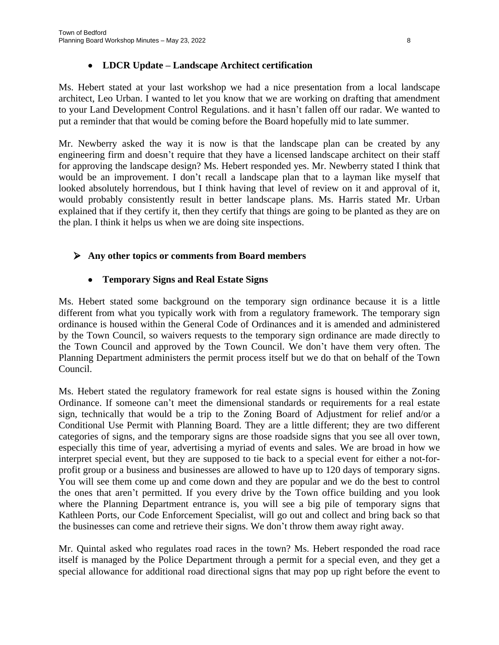### **LDCR Update – Landscape Architect certification**

Ms. Hebert stated at your last workshop we had a nice presentation from a local landscape architect, Leo Urban. I wanted to let you know that we are working on drafting that amendment to your Land Development Control Regulations. and it hasn't fallen off our radar. We wanted to put a reminder that that would be coming before the Board hopefully mid to late summer.

Mr. Newberry asked the way it is now is that the landscape plan can be created by any engineering firm and doesn't require that they have a licensed landscape architect on their staff for approving the landscape design? Ms. Hebert responded yes. Mr. Newberry stated I think that would be an improvement. I don't recall a landscape plan that to a layman like myself that looked absolutely horrendous, but I think having that level of review on it and approval of it, would probably consistently result in better landscape plans. Ms. Harris stated Mr. Urban explained that if they certify it, then they certify that things are going to be planted as they are on the plan. I think it helps us when we are doing site inspections.

## **Any other topics or comments from Board members**

## **Temporary Signs and Real Estate Signs**

Ms. Hebert stated some background on the temporary sign ordinance because it is a little different from what you typically work with from a regulatory framework. The temporary sign ordinance is housed within the General Code of Ordinances and it is amended and administered by the Town Council, so waivers requests to the temporary sign ordinance are made directly to the Town Council and approved by the Town Council. We don't have them very often. The Planning Department administers the permit process itself but we do that on behalf of the Town Council.

Ms. Hebert stated the regulatory framework for real estate signs is housed within the Zoning Ordinance. If someone can't meet the dimensional standards or requirements for a real estate sign, technically that would be a trip to the Zoning Board of Adjustment for relief and/or a Conditional Use Permit with Planning Board. They are a little different; they are two different categories of signs, and the temporary signs are those roadside signs that you see all over town, especially this time of year, advertising a myriad of events and sales. We are broad in how we interpret special event, but they are supposed to tie back to a special event for either a not-forprofit group or a business and businesses are allowed to have up to 120 days of temporary signs. You will see them come up and come down and they are popular and we do the best to control the ones that aren't permitted. If you every drive by the Town office building and you look where the Planning Department entrance is, you will see a big pile of temporary signs that Kathleen Ports, our Code Enforcement Specialist, will go out and collect and bring back so that the businesses can come and retrieve their signs. We don't throw them away right away.

Mr. Quintal asked who regulates road races in the town? Ms. Hebert responded the road race itself is managed by the Police Department through a permit for a special even, and they get a special allowance for additional road directional signs that may pop up right before the event to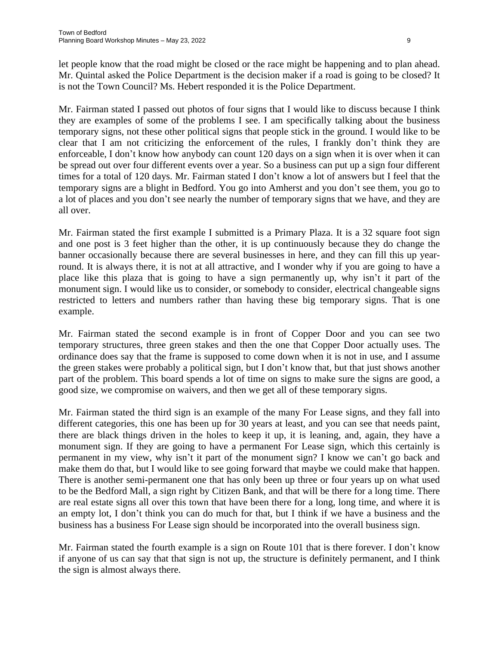let people know that the road might be closed or the race might be happening and to plan ahead. Mr. Quintal asked the Police Department is the decision maker if a road is going to be closed? It is not the Town Council? Ms. Hebert responded it is the Police Department.

Mr. Fairman stated I passed out photos of four signs that I would like to discuss because I think they are examples of some of the problems I see. I am specifically talking about the business temporary signs, not these other political signs that people stick in the ground. I would like to be clear that I am not criticizing the enforcement of the rules, I frankly don't think they are enforceable, I don't know how anybody can count 120 days on a sign when it is over when it can be spread out over four different events over a year. So a business can put up a sign four different times for a total of 120 days. Mr. Fairman stated I don't know a lot of answers but I feel that the temporary signs are a blight in Bedford. You go into Amherst and you don't see them, you go to a lot of places and you don't see nearly the number of temporary signs that we have, and they are all over.

Mr. Fairman stated the first example I submitted is a Primary Plaza. It is a 32 square foot sign and one post is 3 feet higher than the other, it is up continuously because they do change the banner occasionally because there are several businesses in here, and they can fill this up yearround. It is always there, it is not at all attractive, and I wonder why if you are going to have a place like this plaza that is going to have a sign permanently up, why isn't it part of the monument sign. I would like us to consider, or somebody to consider, electrical changeable signs restricted to letters and numbers rather than having these big temporary signs. That is one example.

Mr. Fairman stated the second example is in front of Copper Door and you can see two temporary structures, three green stakes and then the one that Copper Door actually uses. The ordinance does say that the frame is supposed to come down when it is not in use, and I assume the green stakes were probably a political sign, but I don't know that, but that just shows another part of the problem. This board spends a lot of time on signs to make sure the signs are good, a good size, we compromise on waivers, and then we get all of these temporary signs.

Mr. Fairman stated the third sign is an example of the many For Lease signs, and they fall into different categories, this one has been up for 30 years at least, and you can see that needs paint, there are black things driven in the holes to keep it up, it is leaning, and, again, they have a monument sign. If they are going to have a permanent For Lease sign, which this certainly is permanent in my view, why isn't it part of the monument sign? I know we can't go back and make them do that, but I would like to see going forward that maybe we could make that happen. There is another semi-permanent one that has only been up three or four years up on what used to be the Bedford Mall, a sign right by Citizen Bank, and that will be there for a long time. There are real estate signs all over this town that have been there for a long, long time, and where it is an empty lot, I don't think you can do much for that, but I think if we have a business and the business has a business For Lease sign should be incorporated into the overall business sign.

Mr. Fairman stated the fourth example is a sign on Route 101 that is there forever. I don't know if anyone of us can say that that sign is not up, the structure is definitely permanent, and I think the sign is almost always there.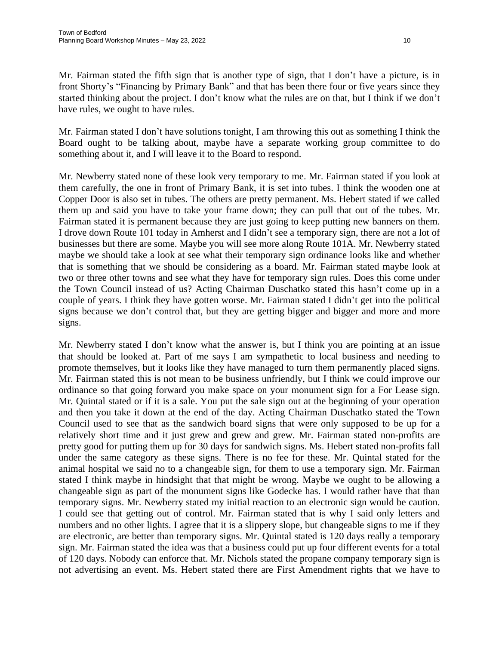Mr. Fairman stated the fifth sign that is another type of sign, that I don't have a picture, is in front Shorty's "Financing by Primary Bank" and that has been there four or five years since they started thinking about the project. I don't know what the rules are on that, but I think if we don't have rules, we ought to have rules.

Mr. Fairman stated I don't have solutions tonight, I am throwing this out as something I think the Board ought to be talking about, maybe have a separate working group committee to do something about it, and I will leave it to the Board to respond.

Mr. Newberry stated none of these look very temporary to me. Mr. Fairman stated if you look at them carefully, the one in front of Primary Bank, it is set into tubes. I think the wooden one at Copper Door is also set in tubes. The others are pretty permanent. Ms. Hebert stated if we called them up and said you have to take your frame down; they can pull that out of the tubes. Mr. Fairman stated it is permanent because they are just going to keep putting new banners on them. I drove down Route 101 today in Amherst and I didn't see a temporary sign, there are not a lot of businesses but there are some. Maybe you will see more along Route 101A. Mr. Newberry stated maybe we should take a look at see what their temporary sign ordinance looks like and whether that is something that we should be considering as a board. Mr. Fairman stated maybe look at two or three other towns and see what they have for temporary sign rules. Does this come under the Town Council instead of us? Acting Chairman Duschatko stated this hasn't come up in a couple of years. I think they have gotten worse. Mr. Fairman stated I didn't get into the political signs because we don't control that, but they are getting bigger and bigger and more and more signs.

Mr. Newberry stated I don't know what the answer is, but I think you are pointing at an issue that should be looked at. Part of me says I am sympathetic to local business and needing to promote themselves, but it looks like they have managed to turn them permanently placed signs. Mr. Fairman stated this is not mean to be business unfriendly, but I think we could improve our ordinance so that going forward you make space on your monument sign for a For Lease sign. Mr. Quintal stated or if it is a sale. You put the sale sign out at the beginning of your operation and then you take it down at the end of the day. Acting Chairman Duschatko stated the Town Council used to see that as the sandwich board signs that were only supposed to be up for a relatively short time and it just grew and grew and grew. Mr. Fairman stated non-profits are pretty good for putting them up for 30 days for sandwich signs. Ms. Hebert stated non-profits fall under the same category as these signs. There is no fee for these. Mr. Quintal stated for the animal hospital we said no to a changeable sign, for them to use a temporary sign. Mr. Fairman stated I think maybe in hindsight that that might be wrong. Maybe we ought to be allowing a changeable sign as part of the monument signs like Godecke has. I would rather have that than temporary signs. Mr. Newberry stated my initial reaction to an electronic sign would be caution. I could see that getting out of control. Mr. Fairman stated that is why I said only letters and numbers and no other lights. I agree that it is a slippery slope, but changeable signs to me if they are electronic, are better than temporary signs. Mr. Quintal stated is 120 days really a temporary sign. Mr. Fairman stated the idea was that a business could put up four different events for a total of 120 days. Nobody can enforce that. Mr. Nichols stated the propane company temporary sign is not advertising an event. Ms. Hebert stated there are First Amendment rights that we have to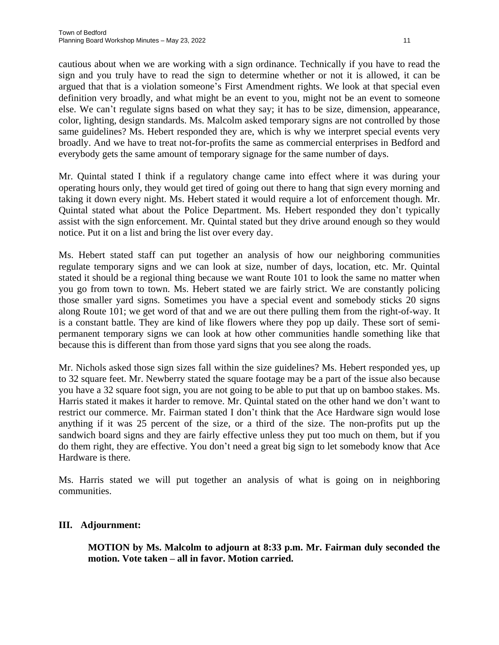cautious about when we are working with a sign ordinance. Technically if you have to read the sign and you truly have to read the sign to determine whether or not it is allowed, it can be argued that that is a violation someone's First Amendment rights. We look at that special even definition very broadly, and what might be an event to you, might not be an event to someone else. We can't regulate signs based on what they say; it has to be size, dimension, appearance, color, lighting, design standards. Ms. Malcolm asked temporary signs are not controlled by those same guidelines? Ms. Hebert responded they are, which is why we interpret special events very broadly. And we have to treat not-for-profits the same as commercial enterprises in Bedford and everybody gets the same amount of temporary signage for the same number of days.

Mr. Quintal stated I think if a regulatory change came into effect where it was during your operating hours only, they would get tired of going out there to hang that sign every morning and taking it down every night. Ms. Hebert stated it would require a lot of enforcement though. Mr. Quintal stated what about the Police Department. Ms. Hebert responded they don't typically assist with the sign enforcement. Mr. Quintal stated but they drive around enough so they would notice. Put it on a list and bring the list over every day.

Ms. Hebert stated staff can put together an analysis of how our neighboring communities regulate temporary signs and we can look at size, number of days, location, etc. Mr. Quintal stated it should be a regional thing because we want Route 101 to look the same no matter when you go from town to town. Ms. Hebert stated we are fairly strict. We are constantly policing those smaller yard signs. Sometimes you have a special event and somebody sticks 20 signs along Route 101; we get word of that and we are out there pulling them from the right-of-way. It is a constant battle. They are kind of like flowers where they pop up daily. These sort of semipermanent temporary signs we can look at how other communities handle something like that because this is different than from those yard signs that you see along the roads.

Mr. Nichols asked those sign sizes fall within the size guidelines? Ms. Hebert responded yes, up to 32 square feet. Mr. Newberry stated the square footage may be a part of the issue also because you have a 32 square foot sign, you are not going to be able to put that up on bamboo stakes. Ms. Harris stated it makes it harder to remove. Mr. Quintal stated on the other hand we don't want to restrict our commerce. Mr. Fairman stated I don't think that the Ace Hardware sign would lose anything if it was 25 percent of the size, or a third of the size. The non-profits put up the sandwich board signs and they are fairly effective unless they put too much on them, but if you do them right, they are effective. You don't need a great big sign to let somebody know that Ace Hardware is there.

Ms. Harris stated we will put together an analysis of what is going on in neighboring communities.

#### **III. Adjournment:**

**MOTION by Ms. Malcolm to adjourn at 8:33 p.m. Mr. Fairman duly seconded the motion. Vote taken – all in favor. Motion carried.**